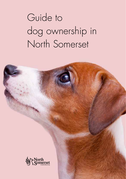# Guide to dog ownership in North Somerset

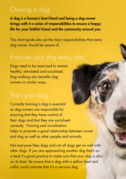### Owning a dog

A dog is a human's best friend and being a dog owner brings with it a series of responsibilities to ensure a happy life for your faithful friend and the community around you.

This short guide sets out the main responsibilities that every dog owner should be aware of.

#### Exercise your dog every day

Dogs need to be exercised to remain healthy, stimulated and socialised. Dog walking also benefits dog owners in similar ways.

Correctly training a dog is essential as dog owners are responsible for ensuring that they have control of their dogs and that they are socialised correctly. Training and socialisation helps to promote a good relationship between owner and dog as well as other people and animals.

Not everyone likes dogs and not all dogs get on well with other dogs. If you are approaching another dog that's on a lead it's good practice to make sure that your dog is also on its lead. Be aware that a dog with a yellow lead and collar could indicate that it's a nervous dog.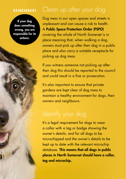#### **REMEMBER!**

If your dog does something wrong, you are responsible for its actions.

### Clean up after your dog

Dog mess in our open spaces and streets is unpleasant and can cause a risk to health. A Public Space Protection Order (PSPO) covering the whole of North Somerset is in place meaning that, when walking a dog, owners must pick up after their dog in a public place and also carry a suitable receptacle for picking up dog mess.

If you witness someone not picking up after their dog this should be reported to the council and could result in a fine or prosecution.

It's also important to ensure that private gardens are kept clear of dog mess to maintain a healthy environment for dogs, their owners and neighbours.

## Identify your dog

It's a legal requirement for dogs to wear a collar with a tag or badge showing the owner's details, and for all dogs to be microchipped and the owner's details to be kept up to date with the relevant microchip database. This means that all dogs in public places in North Somerset should have a collar, tag and microchip.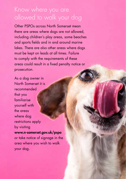### Know where you are allowed to walk your dog

Other PSPOs across North Somerset mean there are areas where dogs are not allowed, including children's play areas, some beaches and sports fields and in and around marine lakes. There are also other areas where dogs must be kept on leads at all times. Failure to comply with the requirements of these areas could result in a fixed penalty notice or prosecution.

As a dog owner in North Somerset it is recommended that you familiarise yourself with the areas where dog restrictions apply by visiting www.n-somerset.gov.uk/pspo or take notice of signage in the area where you wish to walk your dog.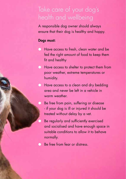### Take care of your dog's health and wellbeing

A responsible dog owner should always ensure that their dog is healthy and happy.

#### Dogs must:

- Have access to fresh, clean water and be fed the right amount of food to keep them fit and healthy
- Have access to shelter to protect them from poor weather, extreme temperatures or humidity.
- Have access to a clean and dry bedding area and never be left in a vehicle in warm weather
	- Be free from pain, suffering or disease - if your dog is ill or injured it should be treated without delay by a vet.
	- Be regularly and sufficiently exercised and socialised and have enough space in suitable conditions to allow it to behave normally.
- Be free from fear or distress.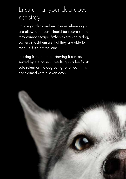### Ensure that your dog does not stray

Private gardens and enclosures where dogs are allowed to roam should be secure so that they cannot escape. When exercising a dog, owners should ensure that they are able to recall it if it's off the lead.

If a dog is found to be straying it can be seized by the council, resulting in a fee for its safe return or the dog being rehomed if it is not claimed within seven days.

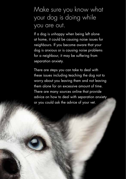### Make sure you know what your dog is doing while you are out.

If a dog is unhappy when being left alone at home, it could be causing noise issues for neighbours. If you become aware that your dog is anxious or is causing noise problems for a neighbour, it may be suffering from separation anxiety.

There are steps you can take to deal with these issues including teaching the dog not to worry about you leaving them and not leaving them alone for an excessive amount of time. There are many sources online that provide advice on how to deal with separation anxiety or you could ask the advice of your vet.